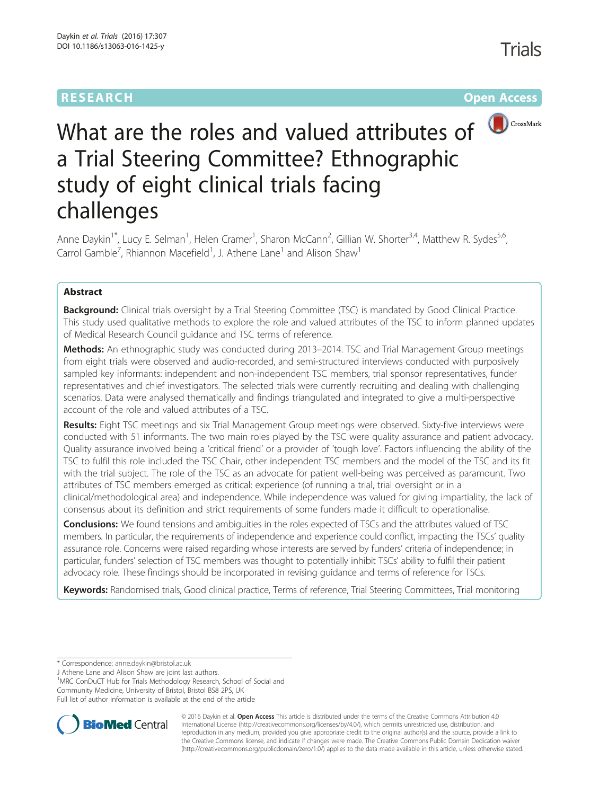# **RESEARCH RESEARCH** *CHECK CHECK CHECK CHECK CHECK CHECK CHECK CHECK CHECK CHECK CHECK CHECK CHECK CHECK CHECK CHECK CHECK CHECK CHECK CHECK CHECK CHECK CHECK CHECK CHECK CHECK CHECK CHECK CHECK CHECK CHECK CHECK CHECK*



# What are the roles and valued attributes of  $\bigcirc$  CrossMark a Trial Steering Committee? Ethnographic study of eight clinical trials facing challenges

Anne Daykin<sup>1\*</sup>, Lucy E. Selman<sup>1</sup>, Helen Cramer<sup>1</sup>, Sharon McCann<sup>2</sup>, Gillian W. Shorter<sup>3,4</sup>, Matthew R. Sydes<sup>5,6</sup>, Carrol Gamble<sup>7</sup>, Rhiannon Macefield<sup>1</sup>, J. Athene Lane<sup>1</sup> and Alison Shaw<sup>1</sup>

# Abstract

Background: Clinical trials oversight by a Trial Steering Committee (TSC) is mandated by Good Clinical Practice. This study used qualitative methods to explore the role and valued attributes of the TSC to inform planned updates of Medical Research Council guidance and TSC terms of reference.

Methods: An ethnographic study was conducted during 2013-2014. TSC and Trial Management Group meetings from eight trials were observed and audio-recorded, and semi-structured interviews conducted with purposively sampled key informants: independent and non-independent TSC members, trial sponsor representatives, funder representatives and chief investigators. The selected trials were currently recruiting and dealing with challenging scenarios. Data were analysed thematically and findings triangulated and integrated to give a multi-perspective account of the role and valued attributes of a TSC.

Results: Eight TSC meetings and six Trial Management Group meetings were observed. Sixty-five interviews were conducted with 51 informants. The two main roles played by the TSC were quality assurance and patient advocacy. Quality assurance involved being a 'critical friend' or a provider of 'tough love'. Factors influencing the ability of the TSC to fulfil this role included the TSC Chair, other independent TSC members and the model of the TSC and its fit with the trial subject. The role of the TSC as an advocate for patient well-being was perceived as paramount. Two attributes of TSC members emerged as critical: experience (of running a trial, trial oversight or in a clinical/methodological area) and independence. While independence was valued for giving impartiality, the lack of consensus about its definition and strict requirements of some funders made it difficult to operationalise.

**Conclusions:** We found tensions and ambiguities in the roles expected of TSCs and the attributes valued of TSC members. In particular, the requirements of independence and experience could conflict, impacting the TSCs' quality assurance role. Concerns were raised regarding whose interests are served by funders' criteria of independence; in particular, funders' selection of TSC members was thought to potentially inhibit TSCs' ability to fulfil their patient advocacy role. These findings should be incorporated in revising guidance and terms of reference for TSCs.

Keywords: Randomised trials, Good clinical practice, Terms of reference, Trial Steering Committees, Trial monitoring

\* Correspondence: [anne.daykin@bristol.ac.uk](mailto:anne.daykin@bristol.ac.uk)

J Athene Lane and Alison Shaw are joint last authors.

<sup>1</sup>MRC ConDuCT Hub for Trials Methodology Research, School of Social and Community Medicine, University of Bristol, Bristol BS8 2PS, UK Full list of author information is available at the end of the article



© 2016 Daykin et al. Open Access This article is distributed under the terms of the Creative Commons Attribution 4.0 International License [\(http://creativecommons.org/licenses/by/4.0/](http://www.nets.nihr.ac.uk/__data/assets/pdf_file/0014/165110/NETSCC_TSC_SSC-Guidance_April-2016.pdf)), which permits unrestricted use, distribution, and reproduction in any medium, provided you give appropriate credit to the original author(s) and the source, provide a link to the Creative Commons license, and indicate if changes were made. The Creative Commons Public Domain Dedication waiver [\(http://creativecommons.org/publicdomain/zero/1.0/](http://creativecommons.org/publicdomain/zero/1.0/)) applies to the data made available in this article, unless otherwise stated.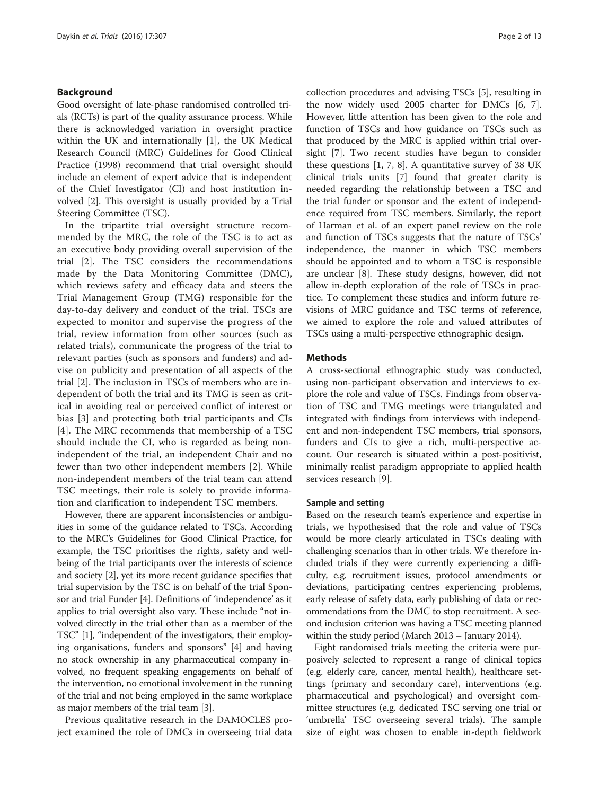# Background

Good oversight of late-phase randomised controlled trials (RCTs) is part of the quality assurance process. While there is acknowledged variation in oversight practice within the UK and internationally [\[1](#page-12-0)], the UK Medical Research Council (MRC) Guidelines for Good Clinical Practice (1998) recommend that trial oversight should include an element of expert advice that is independent of the Chief Investigator (CI) and host institution involved [\[2\]](#page-12-0). This oversight is usually provided by a Trial Steering Committee (TSC).

In the tripartite trial oversight structure recommended by the MRC, the role of the TSC is to act as an executive body providing overall supervision of the trial [[2\]](#page-12-0). The TSC considers the recommendations made by the Data Monitoring Committee (DMC), which reviews safety and efficacy data and steers the Trial Management Group (TMG) responsible for the day-to-day delivery and conduct of the trial. TSCs are expected to monitor and supervise the progress of the trial, review information from other sources (such as related trials), communicate the progress of the trial to relevant parties (such as sponsors and funders) and advise on publicity and presentation of all aspects of the trial [[2\]](#page-12-0). The inclusion in TSCs of members who are independent of both the trial and its TMG is seen as critical in avoiding real or perceived conflict of interest or bias [\[3](#page-12-0)] and protecting both trial participants and CIs [[4](#page-12-0)]. The MRC recommends that membership of a TSC should include the CI, who is regarded as being nonindependent of the trial, an independent Chair and no fewer than two other independent members [\[2](#page-12-0)]. While non-independent members of the trial team can attend TSC meetings, their role is solely to provide information and clarification to independent TSC members.

However, there are apparent inconsistencies or ambiguities in some of the guidance related to TSCs. According to the MRC's Guidelines for Good Clinical Practice, for example, the TSC prioritises the rights, safety and wellbeing of the trial participants over the interests of science and society [[2\]](#page-12-0), yet its more recent guidance specifies that trial supervision by the TSC is on behalf of the trial Sponsor and trial Funder [\[4\]](#page-12-0). Definitions of 'independence' as it applies to trial oversight also vary. These include "not involved directly in the trial other than as a member of the TSC" [\[1](#page-12-0)], "independent of the investigators, their employing organisations, funders and sponsors" [[4\]](#page-12-0) and having no stock ownership in any pharmaceutical company involved, no frequent speaking engagements on behalf of the intervention, no emotional involvement in the running of the trial and not being employed in the same workplace as major members of the trial team [\[3\]](#page-12-0).

Previous qualitative research in the DAMOCLES project examined the role of DMCs in overseeing trial data collection procedures and advising TSCs [[5](#page-12-0)], resulting in the now widely used 2005 charter for DMCs [[6](#page-12-0), [7](#page-12-0)]. However, little attention has been given to the role and function of TSCs and how guidance on TSCs such as that produced by the MRC is applied within trial oversight [[7\]](#page-12-0). Two recent studies have begun to consider these questions [\[1](#page-12-0), [7, 8](#page-12-0)]. A quantitative survey of 38 UK clinical trials units [\[7](#page-12-0)] found that greater clarity is needed regarding the relationship between a TSC and the trial funder or sponsor and the extent of independence required from TSC members. Similarly, the report of Harman et al. of an expert panel review on the role and function of TSCs suggests that the nature of TSCs' independence, the manner in which TSC members should be appointed and to whom a TSC is responsible are unclear [[8\]](#page-12-0). These study designs, however, did not allow in-depth exploration of the role of TSCs in practice. To complement these studies and inform future revisions of MRC guidance and TSC terms of reference, we aimed to explore the role and valued attributes of TSCs using a multi-perspective ethnographic design.

## Methods

A cross-sectional ethnographic study was conducted, using non-participant observation and interviews to explore the role and value of TSCs. Findings from observation of TSC and TMG meetings were triangulated and integrated with findings from interviews with independent and non-independent TSC members, trial sponsors, funders and CIs to give a rich, multi-perspective account. Our research is situated within a post-positivist, minimally realist paradigm appropriate to applied health services research [[9\]](#page-12-0).

## Sample and setting

Based on the research team's experience and expertise in trials, we hypothesised that the role and value of TSCs would be more clearly articulated in TSCs dealing with challenging scenarios than in other trials. We therefore included trials if they were currently experiencing a difficulty, e.g. recruitment issues, protocol amendments or deviations, participating centres experiencing problems, early release of safety data, early publishing of data or recommendations from the DMC to stop recruitment. A second inclusion criterion was having a TSC meeting planned within the study period (March 2013 – January 2014).

Eight randomised trials meeting the criteria were purposively selected to represent a range of clinical topics (e.g. elderly care, cancer, mental health), healthcare settings (primary and secondary care), interventions (e.g. pharmaceutical and psychological) and oversight committee structures (e.g. dedicated TSC serving one trial or 'umbrella' TSC overseeing several trials). The sample size of eight was chosen to enable in-depth fieldwork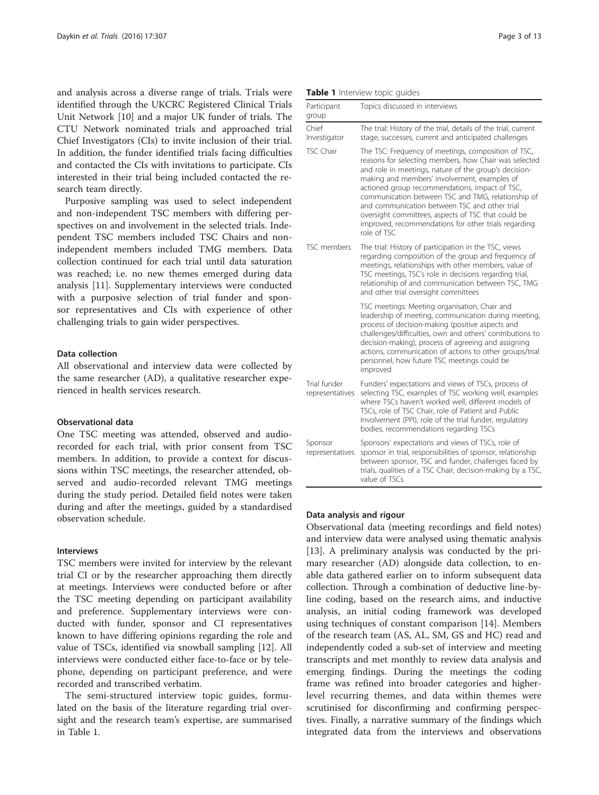and analysis across a diverse range of trials. Trials were identified through the UKCRC Registered Clinical Trials Unit Network [\[10](#page-12-0)] and a major UK funder of trials. The CTU Network nominated trials and approached trial Chief Investigators (CIs) to invite inclusion of their trial. In addition, the funder identified trials facing difficulties and contacted the CIs with invitations to participate. CIs interested in their trial being included contacted the research team directly.

Purposive sampling was used to select independent and non-independent TSC members with differing perspectives on and involvement in the selected trials. Independent TSC members included TSC Chairs and nonindependent members included TMG members. Data collection continued for each trial until data saturation was reached; i.e. no new themes emerged during data analysis [[11\]](#page-12-0). Supplementary interviews were conducted with a purposive selection of trial funder and sponsor representatives and CIs with experience of other challenging trials to gain wider perspectives.

# Data collection

All observational and interview data were collected by the same researcher (AD), a qualitative researcher experienced in health services research.

# Observational data

One TSC meeting was attended, observed and audiorecorded for each trial, with prior consent from TSC members. In addition, to provide a context for discussions within TSC meetings, the researcher attended, observed and audio-recorded relevant TMG meetings during the study period. Detailed field notes were taken during and after the meetings, guided by a standardised observation schedule.

#### Interviews

TSC members were invited for interview by the relevant trial CI or by the researcher approaching them directly at meetings. Interviews were conducted before or after the TSC meeting depending on participant availability and preference. Supplementary interviews were conducted with funder, sponsor and CI representatives known to have differing opinions regarding the role and value of TSCs, identified via snowball sampling [[12\]](#page-12-0). All interviews were conducted either face-to-face or by telephone, depending on participant preference, and were recorded and transcribed verbatim.

The semi-structured interview topic guides, formulated on the basis of the literature regarding trial oversight and the research team's expertise, are summarised in Table 1.

Table 1 Interview topic guides

| Participant<br>group            | Topics discussed in interviews                                                                                                                                                                                                                                                                                                                                                                                                                                                                              |
|---------------------------------|-------------------------------------------------------------------------------------------------------------------------------------------------------------------------------------------------------------------------------------------------------------------------------------------------------------------------------------------------------------------------------------------------------------------------------------------------------------------------------------------------------------|
| Chief<br>Investigator           | The trial: History of the trial, details of the trial, current<br>stage, successes, current and anticipated challenges                                                                                                                                                                                                                                                                                                                                                                                      |
| TSC Chair                       | The TSC: Frequency of meetings, composition of TSC,<br>reasons for selecting members, how Chair was selected<br>and role in meetings, nature of the group's decision-<br>making and members' involvement, examples of<br>actioned group recommendations, impact of TSC,<br>communication between TSC and TMG, relationship of<br>and communication between TSC and other trial<br>oversight committees, aspects of TSC that could be<br>improved, recommendations for other trials regarding<br>role of TSC |
| TSC members                     | The trial: History of participation in the TSC, views<br>regarding composition of the group and frequency of<br>meetings, relationships with other members, value of<br>TSC meetings, TSC's role in decisions regarding trial,<br>relationship of and communication between TSC, TMG<br>and other trial oversight committees                                                                                                                                                                                |
|                                 | TSC meetings: Meeting organisation, Chair and<br>leadership of meeting, communication during meeting,<br>process of decision-making (positive aspects and<br>challenges/difficulties, own and others' contributions to<br>decision-making), process of agreeing and assigning<br>actions, communication of actions to other groups/trial<br>personnel, how future TSC meetings could be<br>improved                                                                                                         |
| Trial funder<br>representatives | Funders' expectations and views of TSCs, process of<br>selecting TSC, examples of TSC working well, examples<br>where TSCs haven't worked well, different models of<br>TSCs, role of TSC Chair, role of Patient and Public<br>Involvement (PPI), role of the trial funder, regulatory<br>bodies, recommendations regarding TSCs                                                                                                                                                                             |
| Sponsor<br>representatives      | Sponsors' expectations and views of TSCs, role of<br>sponsor in trial, responsibilities of sponsor, relationship<br>between sponsor, TSC and funder, challenges faced by<br>trials, qualities of a TSC Chair, decision-making by a TSC,<br>value of TSCs                                                                                                                                                                                                                                                    |

## Data analysis and rigour

Observational data (meeting recordings and field notes) and interview data were analysed using thematic analysis [[13\]](#page-12-0). A preliminary analysis was conducted by the primary researcher (AD) alongside data collection, to enable data gathered earlier on to inform subsequent data collection. Through a combination of deductive line-byline coding, based on the research aims, and inductive analysis, an initial coding framework was developed using techniques of constant comparison [\[14](#page-12-0)]. Members of the research team (AS, AL, SM, GS and HC) read and independently coded a sub-set of interview and meeting transcripts and met monthly to review data analysis and emerging findings. During the meetings the coding frame was refined into broader categories and higherlevel recurring themes, and data within themes were scrutinised for disconfirming and confirming perspectives. Finally, a narrative summary of the findings which integrated data from the interviews and observations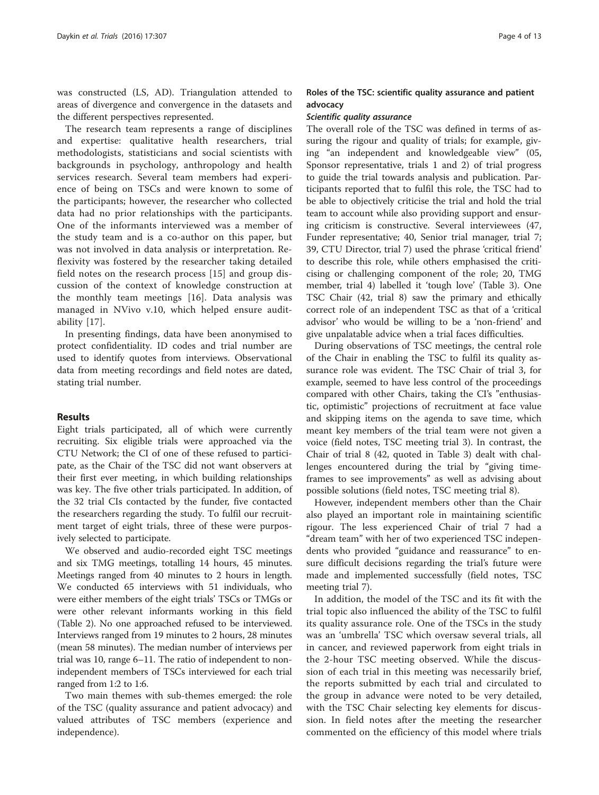was constructed (LS, AD). Triangulation attended to areas of divergence and convergence in the datasets and the different perspectives represented.

The research team represents a range of disciplines and expertise: qualitative health researchers, trial methodologists, statisticians and social scientists with backgrounds in psychology, anthropology and health services research. Several team members had experience of being on TSCs and were known to some of the participants; however, the researcher who collected data had no prior relationships with the participants. One of the informants interviewed was a member of the study team and is a co-author on this paper, but was not involved in data analysis or interpretation. Reflexivity was fostered by the researcher taking detailed field notes on the research process [\[15](#page-12-0)] and group discussion of the context of knowledge construction at the monthly team meetings [[16](#page-12-0)]. Data analysis was managed in NVivo v.10, which helped ensure auditability [[17](#page-12-0)].

In presenting findings, data have been anonymised to protect confidentiality. ID codes and trial number are used to identify quotes from interviews. Observational data from meeting recordings and field notes are dated, stating trial number.

#### Results

Eight trials participated, all of which were currently recruiting. Six eligible trials were approached via the CTU Network; the CI of one of these refused to participate, as the Chair of the TSC did not want observers at their first ever meeting, in which building relationships was key. The five other trials participated. In addition, of the 32 trial CIs contacted by the funder, five contacted the researchers regarding the study. To fulfil our recruitment target of eight trials, three of these were purposively selected to participate.

We observed and audio-recorded eight TSC meetings and six TMG meetings, totalling 14 hours, 45 minutes. Meetings ranged from 40 minutes to 2 hours in length. We conducted 65 interviews with 51 individuals, who were either members of the eight trials' TSCs or TMGs or were other relevant informants working in this field (Table [2](#page-4-0)). No one approached refused to be interviewed. Interviews ranged from 19 minutes to 2 hours, 28 minutes (mean 58 minutes). The median number of interviews per trial was 10, range 6–11. The ratio of independent to nonindependent members of TSCs interviewed for each trial ranged from 1:2 to 1:6.

Two main themes with sub-themes emerged: the role of the TSC (quality assurance and patient advocacy) and valued attributes of TSC members (experience and independence).

# Roles of the TSC: scientific quality assurance and patient advocacy

#### Scientific quality assurance

The overall role of the TSC was defined in terms of assuring the rigour and quality of trials; for example, giving "an independent and knowledgeable view" (05, Sponsor representative, trials 1 and 2) of trial progress to guide the trial towards analysis and publication. Participants reported that to fulfil this role, the TSC had to be able to objectively criticise the trial and hold the trial team to account while also providing support and ensuring criticism is constructive. Several interviewees (47, Funder representative; 40, Senior trial manager, trial 7; 39, CTU Director, trial 7) used the phrase 'critical friend' to describe this role, while others emphasised the criticising or challenging component of the role; 20, TMG member, trial 4) labelled it 'tough love' (Table [3](#page-5-0)). One TSC Chair (42, trial 8) saw the primary and ethically correct role of an independent TSC as that of a 'critical advisor' who would be willing to be a 'non-friend' and give unpalatable advice when a trial faces difficulties.

During observations of TSC meetings, the central role of the Chair in enabling the TSC to fulfil its quality assurance role was evident. The TSC Chair of trial 3, for example, seemed to have less control of the proceedings compared with other Chairs, taking the CI's "enthusiastic, optimistic" projections of recruitment at face value and skipping items on the agenda to save time, which meant key members of the trial team were not given a voice (field notes, TSC meeting trial 3). In contrast, the Chair of trial 8 (42, quoted in Table [3\)](#page-5-0) dealt with challenges encountered during the trial by "giving timeframes to see improvements" as well as advising about possible solutions (field notes, TSC meeting trial 8).

However, independent members other than the Chair also played an important role in maintaining scientific rigour. The less experienced Chair of trial 7 had a "dream team" with her of two experienced TSC independents who provided "guidance and reassurance" to ensure difficult decisions regarding the trial's future were made and implemented successfully (field notes, TSC meeting trial 7).

In addition, the model of the TSC and its fit with the trial topic also influenced the ability of the TSC to fulfil its quality assurance role. One of the TSCs in the study was an 'umbrella' TSC which oversaw several trials, all in cancer, and reviewed paperwork from eight trials in the 2-hour TSC meeting observed. While the discussion of each trial in this meeting was necessarily brief, the reports submitted by each trial and circulated to the group in advance were noted to be very detailed, with the TSC Chair selecting key elements for discussion. In field notes after the meeting the researcher commented on the efficiency of this model where trials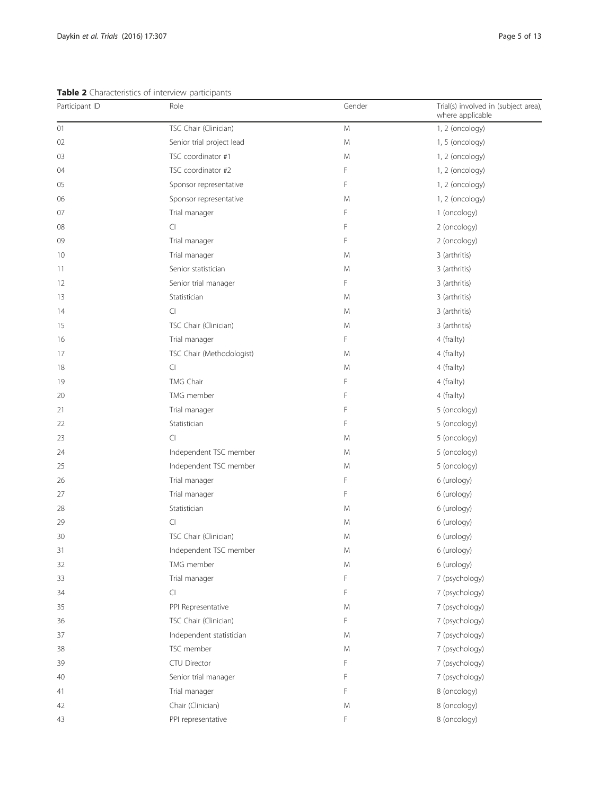# Table 2 Characteristics of interview

<span id="page-4-0"></span>

| Participant ID | Role                        | Gender         | Trial(s) involved in (subject area)<br>where applicable |
|----------------|-----------------------------|----------------|---------------------------------------------------------|
| 01             | TSC Chair (Clinician)       | M              | 1, 2 (oncology)                                         |
| 02             | Senior trial project lead   | M              | 1, 5 (oncology)                                         |
| 03             | TSC coordinator #1          | M              | 1, 2 (oncology)                                         |
| 04             | TSC coordinator #2          | F              | 1, 2 (oncology)                                         |
| 05             | Sponsor representative      | F              | 1, 2 (oncology)                                         |
| 06             | Sponsor representative      | M              | 1, 2 (oncology)                                         |
| 07             | Trial manager               | F              | 1 (oncology)                                            |
| 08             | $\subset$                   | F              | 2 (oncology)                                            |
| 09             | Trial manager               | F              | 2 (oncology)                                            |
| 10             | Trial manager               | M              | 3 (arthritis)                                           |
| 11             | Senior statistician         | M              | 3 (arthritis)                                           |
| 12             | Senior trial manager        | F              | 3 (arthritis)                                           |
| 13             | Statistician                | M              | 3 (arthritis)                                           |
| 14             | C                           | M              | 3 (arthritis)                                           |
| 15             | TSC Chair (Clinician)       | M              | 3 (arthritis)                                           |
| 16             | Trial manager               | F              | 4 (frailty)                                             |
| 17             | TSC Chair (Methodologist)   | M              | 4 (frailty)                                             |
| 18             | C                           | M              | 4 (frailty)                                             |
| $\sim$         | $\tau$ $\sim$ $\sim$ $\sim$ | $\overline{ }$ | $\mathbf{r}$ and $\mathbf{r}$ and $\mathbf{r}$          |

| UO. | Sponson representative    | IVI         | $1, 2$ (oricology) |
|-----|---------------------------|-------------|--------------------|
| 07  | Trial manager             | F           | 1 (oncology)       |
| 08  | CI                        | $\mathsf F$ | 2 (oncology)       |
| 09  | Trial manager             | F           | 2 (oncology)       |
| 10  | Trial manager             | M           | 3 (arthritis)      |
| 11  | Senior statistician       | M           | 3 (arthritis)      |
| 12  | Senior trial manager      | F           | 3 (arthritis)      |
| 13  | Statistician              | M           | 3 (arthritis)      |
| 14  | $\subset$                 | M           | 3 (arthritis)      |
| 15  | TSC Chair (Clinician)     | M           | 3 (arthritis)      |
| 16  | Trial manager             | F           | 4 (frailty)        |
| 17  | TSC Chair (Methodologist) | M           | 4 (frailty)        |
| 18  | $\subset$                 | M           | 4 (frailty)        |
| 19  | TMG Chair                 | F           | 4 (frailty)        |
| 20  | TMG member                | F           | 4 (frailty)        |
| 21  | Trial manager             | $\mathsf F$ | 5 (oncology)       |
| 22  | Statistician              | F           | 5 (oncology)       |
| 23  | $\subset$                 | M           | 5 (oncology)       |
| 24  | Independent TSC member    | M           | 5 (oncology)       |
| 25  | Independent TSC member    | M           | 5 (oncology)       |
| 26  | Trial manager             | F           | 6 (urology)        |
| 27  | Trial manager             | F           | 6 (urology)        |
| 28  | Statistician              | M           | 6 (urology)        |
| 29  | CI                        | M           | 6 (urology)        |
| 30  | TSC Chair (Clinician)     | M           | 6 (urology)        |
| 31  | Independent TSC member    | M           | 6 (urology)        |
| 32  | TMG member                | M           | 6 (urology)        |
| 33  | Trial manager             | F           | 7 (psychology)     |
| 34  | CI                        | F           | 7 (psychology)     |
| 35  | PPI Representative        | M           | 7 (psychology)     |
| 36  | TSC Chair (Clinician)     | $\mathsf F$ | 7 (psychology)     |
| 37  | Independent statistician  | M           | 7 (psychology)     |
| 38  | TSC member                | M           | 7 (psychology)     |
| 39  | CTU Director              | F           | 7 (psychology)     |
| 40  | Senior trial manager      | F           | 7 (psychology)     |
| 41  | Trial manager             | F           | 8 (oncology)       |
| 42  | Chair (Clinician)         | M           | 8 (oncology)       |
| 43  | PPI representative        | F           | 8 (oncology)       |
|     |                           |             |                    |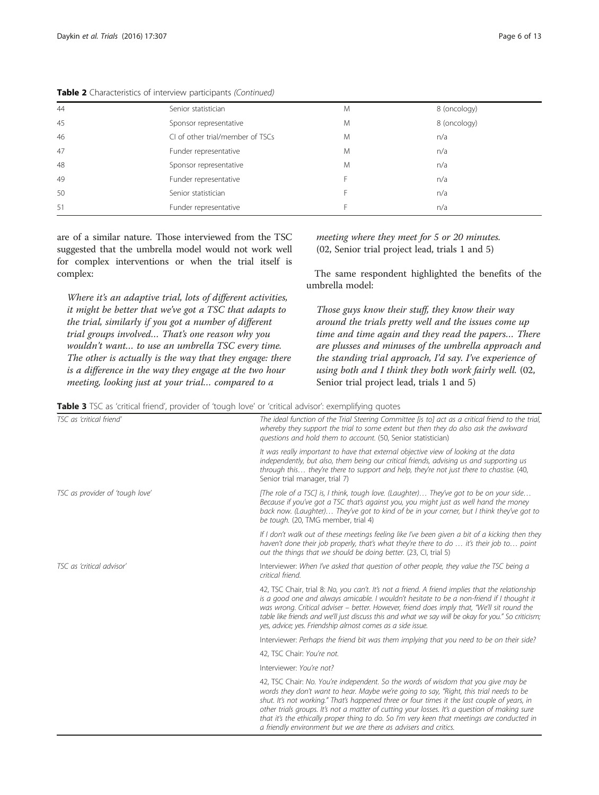| 44 | Senior statistician              | M | 8 (oncology) |
|----|----------------------------------|---|--------------|
| 45 | Sponsor representative           | M | 8 (oncology) |
| 46 | CI of other trial/member of TSCs | M | n/a          |
| 47 | Funder representative            | M | n/a          |
| 48 | Sponsor representative           | M | n/a          |
| 49 | Funder representative            |   | n/a          |
| 50 | Senior statistician              |   | n/a          |
| 51 | Funder representative            |   | n/a          |

<span id="page-5-0"></span>Table 2 Characteristics of interview participants (Continued)

are of a similar nature. Those interviewed from the TSC suggested that the umbrella model would not work well for complex interventions or when the trial itself is complex:

Where it's an adaptive trial, lots of different activities, it might be better that we've got a TSC that adapts to the trial, similarly if you got a number of different trial groups involved… That's one reason why you wouldn't want… to use an umbrella TSC every time. The other is actually is the way that they engage: there is a difference in the way they engage at the two hour meeting, looking just at your trial… compared to a

meeting where they meet for 5 or 20 minutes. (02, Senior trial project lead, trials 1 and 5)

The same respondent highlighted the benefits of the umbrella model:

Those guys know their stuff, they know their way around the trials pretty well and the issues come up time and time again and they read the papers… There are plusses and minuses of the umbrella approach and the standing trial approach, I'd say. I've experience of using both and I think they both work fairly well. (02, Senior trial project lead, trials 1 and 5)

| Table 3 TSC as 'critical friend', provider of 'tough love' or 'critical advisor': exemplifying quotes |  |
|-------------------------------------------------------------------------------------------------------|--|
|-------------------------------------------------------------------------------------------------------|--|

| TSC as 'critical friend'        | The ideal function of the Trial Steering Committee [is to] act as a critical friend to the trial,<br>whereby they support the trial to some extent but then they do also ask the awkward<br>questions and hold them to account. (50, Senior statistician)                                                                                                                                                                                                                                                                                         |
|---------------------------------|---------------------------------------------------------------------------------------------------------------------------------------------------------------------------------------------------------------------------------------------------------------------------------------------------------------------------------------------------------------------------------------------------------------------------------------------------------------------------------------------------------------------------------------------------|
|                                 | It was really important to have that external objective view of looking at the data<br>independently, but also, them being our critical friends, advising us and supporting us<br>through this they're there to support and help, they're not just there to chastise. (40,<br>Senior trial manager, trial 7)                                                                                                                                                                                                                                      |
| TSC as provider of 'tough love' | [The role of a TSC] is, I think, tough love. (Laughter) They've got to be on your side<br>Because if you've got a TSC that's against you, you might just as well hand the money<br>back now. (Laughter) They've got to kind of be in your corner, but I think they've got to<br>be tough. (20, TMG member, trial 4)                                                                                                                                                                                                                               |
|                                 | If I don't walk out of these meetings feeling like I've been given a bit of a kicking then they<br>haven't done their job properly, that's what they're there to do  it's their job to point<br>out the things that we should be doing better. (23, CI, trial 5)                                                                                                                                                                                                                                                                                  |
| TSC as 'critical advisor'       | Interviewer: When I've asked that question of other people, they value the TSC being a<br>critical friend.                                                                                                                                                                                                                                                                                                                                                                                                                                        |
|                                 | 42, TSC Chair, trial 8: No, you can't. It's not a friend. A friend implies that the relationship<br>is a good one and always amicable. I wouldn't hesitate to be a non-friend if I thought it<br>was wrong. Critical adviser – better. However, friend does imply that, "We'll sit round the<br>table like friends and we'll just discuss this and what we say will be okay for you." So criticism;<br>yes, advice; yes. Friendship almost comes as a side issue.                                                                                 |
|                                 | Interviewer: Perhaps the friend bit was them implying that you need to be on their side?                                                                                                                                                                                                                                                                                                                                                                                                                                                          |
|                                 | 42, TSC Chair: You're not.                                                                                                                                                                                                                                                                                                                                                                                                                                                                                                                        |
|                                 | Interviewer: You're not?                                                                                                                                                                                                                                                                                                                                                                                                                                                                                                                          |
|                                 | 42, TSC Chair: No. You're independent. So the words of wisdom that you give may be<br>words they don't want to hear. Maybe we're going to say, "Right, this trial needs to be<br>shut. It's not working." That's happened three or four times it the last couple of years, in<br>other trials groups. It's not a matter of cutting your losses. It's a question of making sure<br>that it's the ethically proper thing to do. So I'm very keen that meetings are conducted in<br>a friendly environment but we are there as advisers and critics. |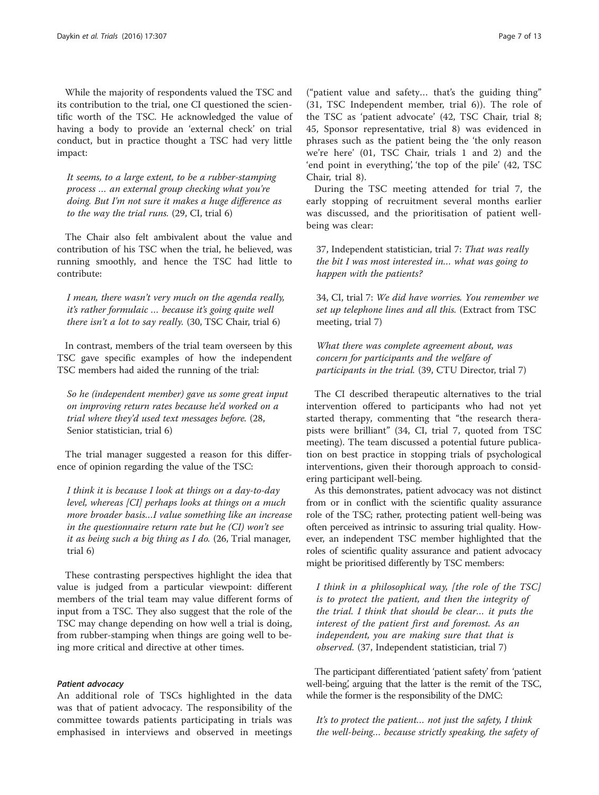While the majority of respondents valued the TSC and its contribution to the trial, one CI questioned the scientific worth of the TSC. He acknowledged the value of having a body to provide an 'external check' on trial conduct, but in practice thought a TSC had very little impact:

It seems, to a large extent, to be a rubber-stamping process … an external group checking what you're doing. But I'm not sure it makes a huge difference as to the way the trial runs. (29, CI, trial 6)

The Chair also felt ambivalent about the value and contribution of his TSC when the trial, he believed, was running smoothly, and hence the TSC had little to contribute:

I mean, there wasn't very much on the agenda really, it's rather formulaic … because it's going quite well there isn't a lot to say really.  $(30, TSC Chair, trial 6)$ 

In contrast, members of the trial team overseen by this TSC gave specific examples of how the independent TSC members had aided the running of the trial:

So he (independent member) gave us some great input on improving return rates because he'd worked on a trial where they'd used text messages before. (28, Senior statistician, trial 6)

The trial manager suggested a reason for this difference of opinion regarding the value of the TSC:

I think it is because I look at things on a day-to-day level, whereas [CI] perhaps looks at things on a much more broader basis…I value something like an increase in the questionnaire return rate but he (CI) won't see it as being such a big thing as I do. (26, Trial manager, trial 6)

These contrasting perspectives highlight the idea that value is judged from a particular viewpoint: different members of the trial team may value different forms of input from a TSC. They also suggest that the role of the TSC may change depending on how well a trial is doing, from rubber-stamping when things are going well to being more critical and directive at other times.

# Patient advocacy

An additional role of TSCs highlighted in the data was that of patient advocacy. The responsibility of the committee towards patients participating in trials was emphasised in interviews and observed in meetings

("patient value and safety… that's the guiding thing" (31, TSC Independent member, trial 6)). The role of the TSC as 'patient advocate' (42, TSC Chair, trial 8; 45, Sponsor representative, trial 8) was evidenced in phrases such as the patient being the 'the only reason we're here' (01, TSC Chair, trials 1 and 2) and the 'end point in everything', 'the top of the pile' (42, TSC Chair, trial 8).

During the TSC meeting attended for trial 7, the early stopping of recruitment several months earlier was discussed, and the prioritisation of patient wellbeing was clear:

37, Independent statistician, trial 7: That was really the bit I was most interested in… what was going to happen with the patients?

34, CI, trial 7: We did have worries. You remember we set up telephone lines and all this. (Extract from TSC meeting, trial 7)

What there was complete agreement about, was concern for participants and the welfare of participants in the trial. (39, CTU Director, trial 7)

The CI described therapeutic alternatives to the trial intervention offered to participants who had not yet started therapy, commenting that "the research therapists were brilliant" (34, CI, trial 7, quoted from TSC meeting). The team discussed a potential future publication on best practice in stopping trials of psychological interventions, given their thorough approach to considering participant well-being.

As this demonstrates, patient advocacy was not distinct from or in conflict with the scientific quality assurance role of the TSC; rather, protecting patient well-being was often perceived as intrinsic to assuring trial quality. However, an independent TSC member highlighted that the roles of scientific quality assurance and patient advocacy might be prioritised differently by TSC members:

I think in a philosophical way, [the role of the TSC] is to protect the patient, and then the integrity of the trial. I think that should be clear… it puts the interest of the patient first and foremost. As an independent, you are making sure that that is observed. (37, Independent statistician, trial 7)

The participant differentiated 'patient safety' from 'patient well-being, arguing that the latter is the remit of the TSC, while the former is the responsibility of the DMC:

It's to protect the patient… not just the safety, I think the well-being… because strictly speaking, the safety of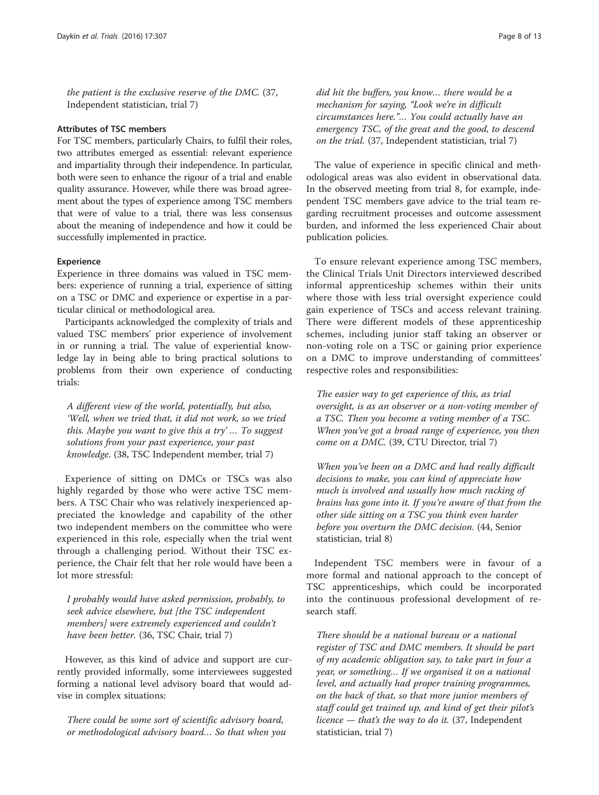the patient is the exclusive reserve of the DMC. (37, Independent statistician, trial 7)

#### Attributes of TSC members

For TSC members, particularly Chairs, to fulfil their roles, two attributes emerged as essential: relevant experience and impartiality through their independence. In particular, both were seen to enhance the rigour of a trial and enable quality assurance. However, while there was broad agreement about the types of experience among TSC members that were of value to a trial, there was less consensus about the meaning of independence and how it could be successfully implemented in practice.

#### Experience

Experience in three domains was valued in TSC members: experience of running a trial, experience of sitting on a TSC or DMC and experience or expertise in a particular clinical or methodological area.

Participants acknowledged the complexity of trials and valued TSC members' prior experience of involvement in or running a trial. The value of experiential knowledge lay in being able to bring practical solutions to problems from their own experience of conducting trials:

A different view of the world, potentially, but also, 'Well, when we tried that, it did not work, so we tried this. Maybe you want to give this a try' … To suggest solutions from your past experience, your past knowledge. (38, TSC Independent member, trial 7)

Experience of sitting on DMCs or TSCs was also highly regarded by those who were active TSC members. A TSC Chair who was relatively inexperienced appreciated the knowledge and capability of the other two independent members on the committee who were experienced in this role, especially when the trial went through a challenging period. Without their TSC experience, the Chair felt that her role would have been a lot more stressful:

I probably would have asked permission, probably, to seek advice elsewhere, but [the TSC independent members] were extremely experienced and couldn't have been better. (36, TSC Chair, trial 7)

However, as this kind of advice and support are currently provided informally, some interviewees suggested forming a national level advisory board that would advise in complex situations:

There could be some sort of scientific advisory board, or methodological advisory board… So that when you did hit the buffers, you know… there would be a mechanism for saying, "Look we're in difficult circumstances here."… You could actually have an emergency TSC, of the great and the good, to descend on the trial. (37, Independent statistician, trial 7)

The value of experience in specific clinical and methodological areas was also evident in observational data. In the observed meeting from trial 8, for example, independent TSC members gave advice to the trial team regarding recruitment processes and outcome assessment burden, and informed the less experienced Chair about publication policies.

To ensure relevant experience among TSC members, the Clinical Trials Unit Directors interviewed described informal apprenticeship schemes within their units where those with less trial oversight experience could gain experience of TSCs and access relevant training. There were different models of these apprenticeship schemes, including junior staff taking an observer or non-voting role on a TSC or gaining prior experience on a DMC to improve understanding of committees' respective roles and responsibilities:

The easier way to get experience of this, as trial oversight, is as an observer or a non-voting member of a TSC. Then you become a voting member of a TSC. When you've got a broad range of experience, you then come on a DMC. (39, CTU Director, trial 7)

When you've been on a DMC and had really difficult decisions to make, you can kind of appreciate how much is involved and usually how much racking of brains has gone into it. If you're aware of that from the other side sitting on a TSC you think even harder before you overturn the DMC decision. (44, Senior statistician, trial 8)

Independent TSC members were in favour of a more formal and national approach to the concept of TSC apprenticeships, which could be incorporated into the continuous professional development of research staff.

There should be a national bureau or a national register of TSC and DMC members. It should be part of my academic obligation say, to take part in four a year, or something… If we organised it on a national level, and actually had proper training programmes, on the back of that, so that more junior members of staff could get trained up, and kind of get their pilot's licence  $-$  that's the way to do it. (37, Independent statistician, trial 7)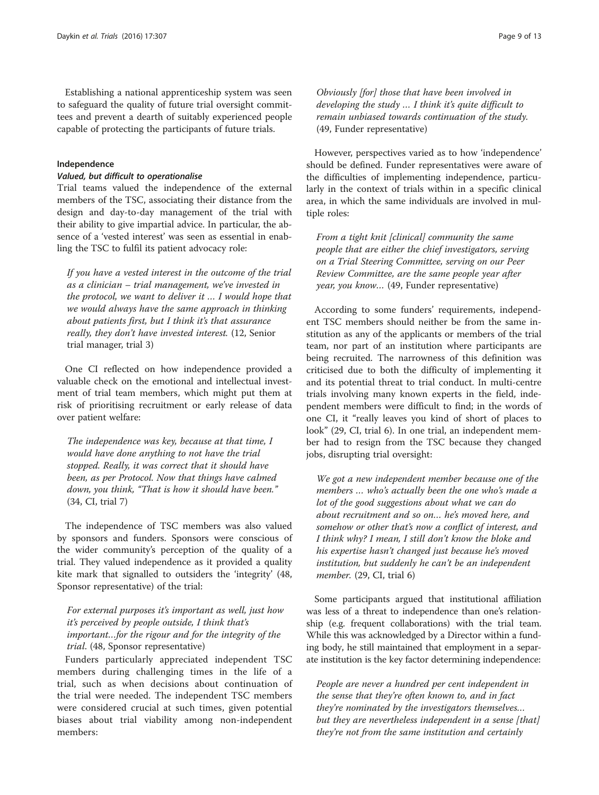Establishing a national apprenticeship system was seen to safeguard the quality of future trial oversight committees and prevent a dearth of suitably experienced people capable of protecting the participants of future trials.

# Independence

#### Valued, but difficult to operationalise

Trial teams valued the independence of the external members of the TSC, associating their distance from the design and day-to-day management of the trial with their ability to give impartial advice. In particular, the absence of a 'vested interest' was seen as essential in enabling the TSC to fulfil its patient advocacy role:

If you have a vested interest in the outcome of the trial as a clinician – trial management, we've invested in the protocol, we want to deliver it … I would hope that we would always have the same approach in thinking about patients first, but I think it's that assurance really, they don't have invested interest. (12, Senior trial manager, trial 3)

One CI reflected on how independence provided a valuable check on the emotional and intellectual investment of trial team members, which might put them at risk of prioritising recruitment or early release of data over patient welfare:

The independence was key, because at that time, I would have done anything to not have the trial stopped. Really, it was correct that it should have been, as per Protocol. Now that things have calmed down, you think, "That is how it should have been." (34, CI, trial 7)

The independence of TSC members was also valued by sponsors and funders. Sponsors were conscious of the wider community's perception of the quality of a trial. They valued independence as it provided a quality kite mark that signalled to outsiders the 'integrity' (48, Sponsor representative) of the trial:

For external purposes it's important as well, just how it's perceived by people outside, I think that's important…for the rigour and for the integrity of the trial. (48, Sponsor representative)

Funders particularly appreciated independent TSC members during challenging times in the life of a trial, such as when decisions about continuation of the trial were needed. The independent TSC members were considered crucial at such times, given potential biases about trial viability among non-independent members:

Obviously [for] those that have been involved in developing the study … I think it's quite difficult to remain unbiased towards continuation of the study. (49, Funder representative)

However, perspectives varied as to how 'independence' should be defined. Funder representatives were aware of the difficulties of implementing independence, particularly in the context of trials within in a specific clinical area, in which the same individuals are involved in multiple roles:

From a tight knit [clinical] community the same people that are either the chief investigators, serving on a Trial Steering Committee, serving on our Peer Review Committee, are the same people year after year, you know… (49, Funder representative)

According to some funders' requirements, independent TSC members should neither be from the same institution as any of the applicants or members of the trial team, nor part of an institution where participants are being recruited. The narrowness of this definition was criticised due to both the difficulty of implementing it and its potential threat to trial conduct. In multi-centre trials involving many known experts in the field, independent members were difficult to find; in the words of one CI, it "really leaves you kind of short of places to look" (29, CI, trial 6). In one trial, an independent member had to resign from the TSC because they changed jobs, disrupting trial oversight:

We got a new independent member because one of the members … who's actually been the one who's made a lot of the good suggestions about what we can do about recruitment and so on… he's moved here, and somehow or other that's now a conflict of interest, and I think why? I mean, I still don't know the bloke and his expertise hasn't changed just because he's moved institution, but suddenly he can't be an independent member. (29, CI, trial 6)

Some participants argued that institutional affiliation was less of a threat to independence than one's relationship (e.g. frequent collaborations) with the trial team. While this was acknowledged by a Director within a funding body, he still maintained that employment in a separate institution is the key factor determining independence:

People are never a hundred per cent independent in the sense that they're often known to, and in fact they're nominated by the investigators themselves… but they are nevertheless independent in a sense [that] they're not from the same institution and certainly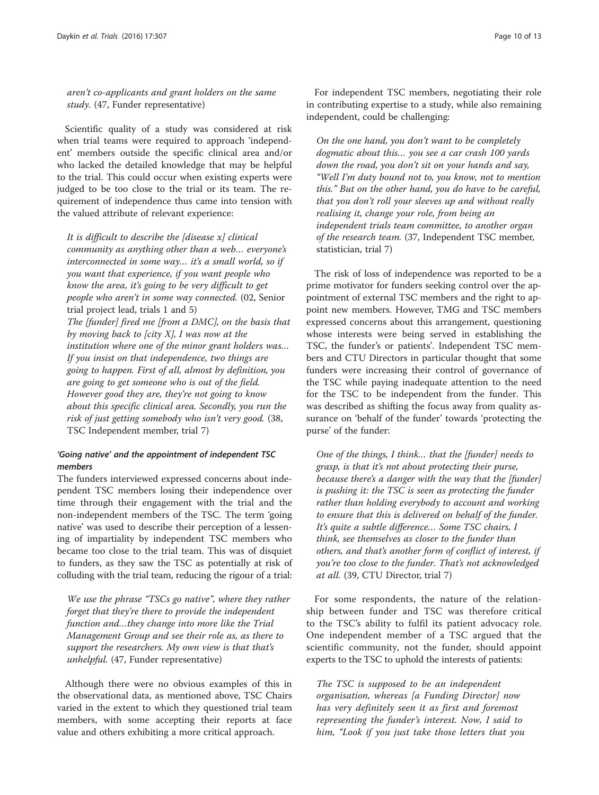aren't co-applicants and grant holders on the same study. (47, Funder representative)

Scientific quality of a study was considered at risk when trial teams were required to approach 'independent' members outside the specific clinical area and/or who lacked the detailed knowledge that may be helpful to the trial. This could occur when existing experts were judged to be too close to the trial or its team. The requirement of independence thus came into tension with the valued attribute of relevant experience:

It is difficult to describe the  $[d$ isease  $x]$  clinical community as anything other than a web… everyone's interconnected in some way… it's a small world, so if you want that experience, if you want people who know the area, it's going to be very difficult to get people who aren't in some way connected. (02, Senior trial project lead, trials 1 and 5) The [funder] fired me [from a DMC], on the basis that by moving back to  $[city X]$ , I was now at the institution where one of the minor grant holders was… If you insist on that independence, two things are going to happen. First of all, almost by definition, you are going to get someone who is out of the field. However good they are, they're not going to know about this specific clinical area. Secondly, you run the risk of just getting somebody who isn't very good. (38, TSC Independent member, trial 7)

# 'Going native' and the appointment of independent TSC members

The funders interviewed expressed concerns about independent TSC members losing their independence over time through their engagement with the trial and the non-independent members of the TSC. The term 'going native' was used to describe their perception of a lessening of impartiality by independent TSC members who became too close to the trial team. This was of disquiet to funders, as they saw the TSC as potentially at risk of colluding with the trial team, reducing the rigour of a trial:

We use the phrase "TSCs go native", where they rather forget that they're there to provide the independent function and…they change into more like the Trial Management Group and see their role as, as there to support the researchers. My own view is that that's unhelpful. (47, Funder representative)

Although there were no obvious examples of this in the observational data, as mentioned above, TSC Chairs varied in the extent to which they questioned trial team members, with some accepting their reports at face value and others exhibiting a more critical approach.

For independent TSC members, negotiating their role in contributing expertise to a study, while also remaining independent, could be challenging:

On the one hand, you don't want to be completely dogmatic about this… you see a car crash 100 yards down the road, you don't sit on your hands and say, "Well I'm duty bound not to, you know, not to mention this." But on the other hand, you do have to be careful, that you don't roll your sleeves up and without really realising it, change your role, from being an independent trials team committee, to another organ of the research team. (37, Independent TSC member, statistician, trial 7)

The risk of loss of independence was reported to be a prime motivator for funders seeking control over the appointment of external TSC members and the right to appoint new members. However, TMG and TSC members expressed concerns about this arrangement, questioning whose interests were being served in establishing the TSC, the funder's or patients'. Independent TSC members and CTU Directors in particular thought that some funders were increasing their control of governance of the TSC while paying inadequate attention to the need for the TSC to be independent from the funder. This was described as shifting the focus away from quality assurance on 'behalf of the funder' towards 'protecting the purse' of the funder:

One of the things, I think… that the [funder] needs to grasp, is that it's not about protecting their purse, because there's a danger with the way that the [funder] is pushing it: the TSC is seen as protecting the funder rather than holding everybody to account and working to ensure that this is delivered on behalf of the funder. It's quite a subtle difference… Some TSC chairs, I think, see themselves as closer to the funder than others, and that's another form of conflict of interest, if you're too close to the funder. That's not acknowledged at all. (39, CTU Director, trial 7)

For some respondents, the nature of the relationship between funder and TSC was therefore critical to the TSC's ability to fulfil its patient advocacy role. One independent member of a TSC argued that the scientific community, not the funder, should appoint experts to the TSC to uphold the interests of patients:

The TSC is supposed to be an independent organisation, whereas [a Funding Director] now has very definitely seen it as first and foremost representing the funder's interest. Now, I said to him, "Look if you just take those letters that you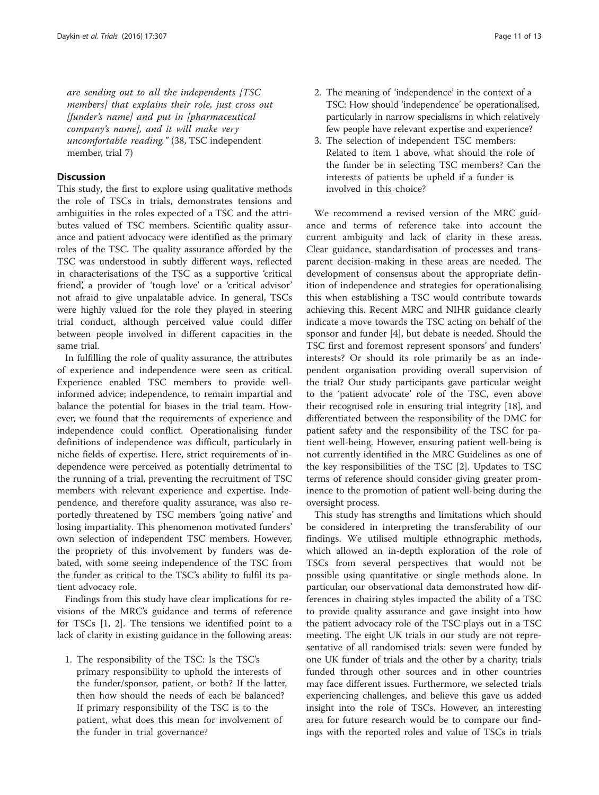are sending out to all the independents [TSC members] that explains their role, just cross out [funder's name] and put in [pharmaceutical company's name], and it will make very uncomfortable reading." (38, TSC independent member, trial 7)

# **Discussion**

This study, the first to explore using qualitative methods the role of TSCs in trials, demonstrates tensions and ambiguities in the roles expected of a TSC and the attributes valued of TSC members. Scientific quality assurance and patient advocacy were identified as the primary roles of the TSC. The quality assurance afforded by the TSC was understood in subtly different ways, reflected in characterisations of the TSC as a supportive 'critical friend', a provider of 'tough love' or a 'critical advisor' not afraid to give unpalatable advice. In general, TSCs were highly valued for the role they played in steering trial conduct, although perceived value could differ between people involved in different capacities in the same trial.

In fulfilling the role of quality assurance, the attributes of experience and independence were seen as critical. Experience enabled TSC members to provide wellinformed advice; independence, to remain impartial and balance the potential for biases in the trial team. However, we found that the requirements of experience and independence could conflict. Operationalising funder definitions of independence was difficult, particularly in niche fields of expertise. Here, strict requirements of independence were perceived as potentially detrimental to the running of a trial, preventing the recruitment of TSC members with relevant experience and expertise. Independence, and therefore quality assurance, was also reportedly threatened by TSC members 'going native' and losing impartiality. This phenomenon motivated funders' own selection of independent TSC members. However, the propriety of this involvement by funders was debated, with some seeing independence of the TSC from the funder as critical to the TSC's ability to fulfil its patient advocacy role.

Findings from this study have clear implications for revisions of the MRC's guidance and terms of reference for TSCs [[1, 2](#page-12-0)]. The tensions we identified point to a lack of clarity in existing guidance in the following areas:

1. The responsibility of the TSC: Is the TSC's primary responsibility to uphold the interests of the funder/sponsor, patient, or both? If the latter, then how should the needs of each be balanced? If primary responsibility of the TSC is to the patient, what does this mean for involvement of the funder in trial governance?

- 2. The meaning of 'independence' in the context of a TSC: How should 'independence' be operationalised, particularly in narrow specialisms in which relatively few people have relevant expertise and experience?
- 3. The selection of independent TSC members: Related to item 1 above, what should the role of the funder be in selecting TSC members? Can the interests of patients be upheld if a funder is involved in this choice?

We recommend a revised version of the MRC guidance and terms of reference take into account the current ambiguity and lack of clarity in these areas. Clear guidance, standardisation of processes and transparent decision-making in these areas are needed. The development of consensus about the appropriate definition of independence and strategies for operationalising this when establishing a TSC would contribute towards achieving this. Recent MRC and NIHR guidance clearly indicate a move towards the TSC acting on behalf of the sponsor and funder [[4\]](#page-12-0), but debate is needed. Should the TSC first and foremost represent sponsors' and funders' interests? Or should its role primarily be as an independent organisation providing overall supervision of the trial? Our study participants gave particular weight to the 'patient advocate' role of the TSC, even above their recognised role in ensuring trial integrity [[18\]](#page-12-0), and differentiated between the responsibility of the DMC for patient safety and the responsibility of the TSC for patient well-being. However, ensuring patient well-being is not currently identified in the MRC Guidelines as one of the key responsibilities of the TSC [[2\]](#page-12-0). Updates to TSC terms of reference should consider giving greater prominence to the promotion of patient well-being during the oversight process.

This study has strengths and limitations which should be considered in interpreting the transferability of our findings. We utilised multiple ethnographic methods, which allowed an in-depth exploration of the role of TSCs from several perspectives that would not be possible using quantitative or single methods alone. In particular, our observational data demonstrated how differences in chairing styles impacted the ability of a TSC to provide quality assurance and gave insight into how the patient advocacy role of the TSC plays out in a TSC meeting. The eight UK trials in our study are not representative of all randomised trials: seven were funded by one UK funder of trials and the other by a charity; trials funded through other sources and in other countries may face different issues. Furthermore, we selected trials experiencing challenges, and believe this gave us added insight into the role of TSCs. However, an interesting area for future research would be to compare our findings with the reported roles and value of TSCs in trials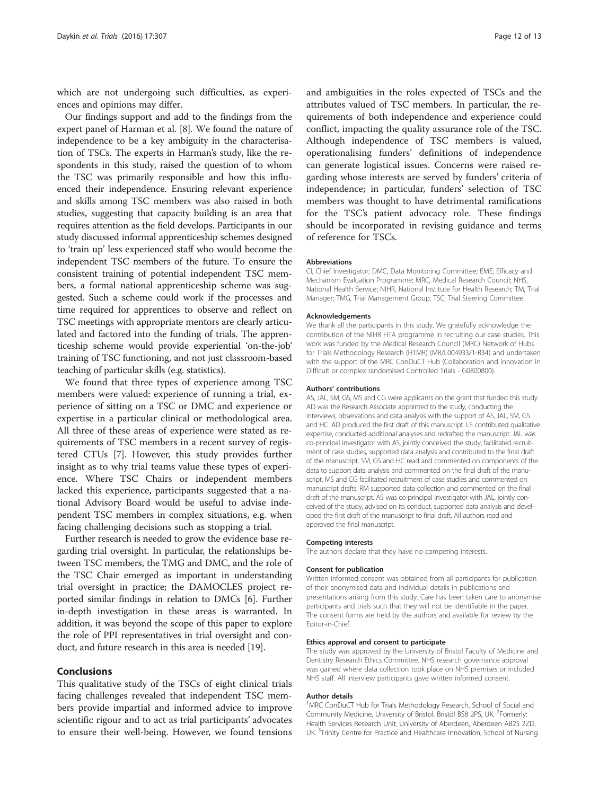which are not undergoing such difficulties, as experiences and opinions may differ.

Our findings support and add to the findings from the expert panel of Harman et al. [[8](#page-12-0)]. We found the nature of independence to be a key ambiguity in the characterisation of TSCs. The experts in Harman's study, like the respondents in this study, raised the question of to whom the TSC was primarily responsible and how this influenced their independence. Ensuring relevant experience and skills among TSC members was also raised in both studies, suggesting that capacity building is an area that requires attention as the field develops. Participants in our study discussed informal apprenticeship schemes designed to 'train up' less experienced staff who would become the independent TSC members of the future. To ensure the consistent training of potential independent TSC members, a formal national apprenticeship scheme was suggested. Such a scheme could work if the processes and time required for apprentices to observe and reflect on TSC meetings with appropriate mentors are clearly articulated and factored into the funding of trials. The apprenticeship scheme would provide experiential 'on-the-job' training of TSC functioning, and not just classroom-based teaching of particular skills (e.g. statistics).

We found that three types of experience among TSC members were valued: experience of running a trial, experience of sitting on a TSC or DMC and experience or expertise in a particular clinical or methodological area. All three of these areas of experience were stated as requirements of TSC members in a recent survey of registered CTUs [[7\]](#page-12-0). However, this study provides further insight as to why trial teams value these types of experience. Where TSC Chairs or independent members lacked this experience, participants suggested that a national Advisory Board would be useful to advise independent TSC members in complex situations, e.g. when facing challenging decisions such as stopping a trial.

Further research is needed to grow the evidence base regarding trial oversight. In particular, the relationships between TSC members, the TMG and DMC, and the role of the TSC Chair emerged as important in understanding trial oversight in practice; the DAMOCLES project reported similar findings in relation to DMCs [\[6](#page-12-0)]. Further in-depth investigation in these areas is warranted. In addition, it was beyond the scope of this paper to explore the role of PPI representatives in trial oversight and conduct, and future research in this area is needed [\[19\]](#page-12-0).

#### Conclusions

This qualitative study of the TSCs of eight clinical trials facing challenges revealed that independent TSC members provide impartial and informed advice to improve scientific rigour and to act as trial participants' advocates to ensure their well-being. However, we found tensions

and ambiguities in the roles expected of TSCs and the attributes valued of TSC members. In particular, the requirements of both independence and experience could conflict, impacting the quality assurance role of the TSC. Although independence of TSC members is valued, operationalising funders' definitions of independence can generate logistical issues. Concerns were raised regarding whose interests are served by funders' criteria of independence; in particular, funders' selection of TSC members was thought to have detrimental ramifications for the TSC's patient advocacy role. These findings should be incorporated in revising guidance and terms of reference for TSCs.

#### Abbreviations

CI, Chief Investigator; DMC, Data Monitoring Committee; EME, Efficacy and Mechanism Evaluation Programme; MRC, Medical Research Council; NHS, National Health Service; NIHR, National Institute for Health Research; TM, Trial Manager; TMG, Trial Management Group; TSC, Trial Steering Committee.

#### Acknowledgements

We thank all the participants in this study. We gratefully acknowledge the contribution of the NIHR HTA programme in recruiting our case studies. This work was funded by the Medical Research Council (MRC) Network of Hubs for Trials Methodology Research (HTMR) (MR/L004933/1-R34) and undertaken with the support of the MRC ConDuCT Hub (Collaboration and innovation in Difficult or complex randomised Controlled Trials - G0800800).

#### Authors' contributions

AS, JAL, SM, GS, MS and CG were applicants on the grant that funded this study. AD was the Research Associate appointed to the study, conducting the interviews, observations and data analysis with the support of AS, JAL, SM, GS and HC. AD produced the first draft of this manuscript. LS contributed qualitative expertise, conducted additional analyses and redrafted the manuscript. JAL was co-principal investigator with AS, jointly conceived the study, facilitated recruitment of case studies, supported data analysis and contributed to the final draft of the manuscript. SM, GS and HC read and commented on components of the data to support data analysis and commented on the final draft of the manuscript. MS and CG facilitated recruitment of case studies and commented on manuscript drafts. RM supported data collection and commented on the final draft of the manuscript. AS was co-principal investigator with JAL, jointly conceived of the study, advised on its conduct, supported data analysis and developed the first draft of the manuscript to final draft. All authors read and approved the final manuscript.

#### Competing interests

The authors declare that they have no competing interests.

#### Consent for publication

Written informed consent was obtained from all participants for publication of their anonymised data and individual details in publications and presentations arising from this study. Care has been taken care to anonymise participants and trials such that they will not be identifiable in the paper. The consent forms are held by the authors and available for review by the Editor-in-Chief.

#### Ethics approval and consent to participate

The study was approved by the University of Bristol Faculty of Medicine and Dentistry Research Ethics Committee. NHS research governance approval was gained where data collection took place on NHS premises or included NHS staff. All interview participants gave written informed consent.

#### Author details

<sup>1</sup>MRC ConDuCT Hub for Trials Methodology Research, School of Social and Community Medicine, University of Bristol, Bristol BS8 2PS, UK. <sup>2</sup>Formerly: Health Services Research Unit, University of Aberdeen, Aberdeen AB25 2ZD, UK. <sup>3</sup>Trinity Centre for Practice and Healthcare Innovation, School of Nursing